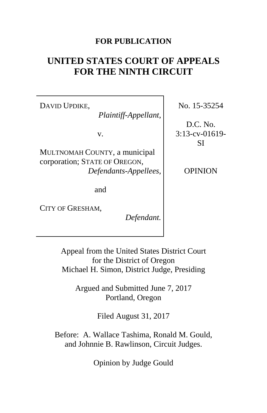# **FOR PUBLICATION**

# **UNITED STATES COURT OF APPEALS FOR THE NINTH CIRCUIT**

DAVID UPDIKE,

*Plaintiff-Appellant*,

v.

MULTNOMAH COUNTY, a municipal corporation; STATE OF OREGON, *Defendants-Appellees*,

and

CITY OF GRESHAM,

*Defendant.*

No. 15-35254

D.C. No. 3:13-cv-01619- SI

OPINION

Appeal from the United States District Court for the District of Oregon Michael H. Simon, District Judge, Presiding

Argued and Submitted June 7, 2017 Portland, Oregon

Filed August 31, 2017

Before: A. Wallace Tashima, Ronald M. Gould, and Johnnie B. Rawlinson, Circuit Judges.

Opinion by Judge Gould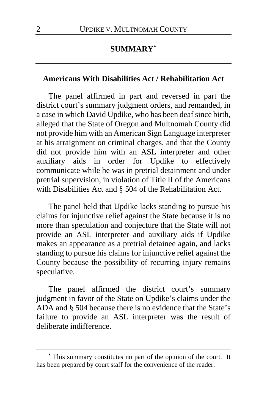# **SUMMARY[\\*](#page-1-0)**

#### **Americans With Disabilities Act / Rehabilitation Act**

The panel affirmed in part and reversed in part the district court's summary judgment orders, and remanded, in a case in which David Updike, who has been deaf since birth, alleged that the State of Oregon and Multnomah County did not provide him with an American Sign Language interpreter at his arraignment on criminal charges, and that the County did not provide him with an ASL interpreter and other auxiliary aids in order for Updike to effectively communicate while he was in pretrial detainment and under pretrial supervision, in violation of Title II of the Americans with Disabilities Act and § 504 of the Rehabilitation Act.

The panel held that Updike lacks standing to pursue his claims for injunctive relief against the State because it is no more than speculation and conjecture that the State will not provide an ASL interpreter and auxiliary aids if Updike makes an appearance as a pretrial detainee again, and lacks standing to pursue his claims for injunctive relief against the County because the possibility of recurring injury remains speculative.

The panel affirmed the district court's summary judgment in favor of the State on Updike's claims under the ADA and § 504 because there is no evidence that the State's failure to provide an ASL interpreter was the result of deliberate indifference.

 $\overline{a}$ 

<span id="page-1-0"></span>**<sup>\*</sup>** This summary constitutes no part of the opinion of the court. It has been prepared by court staff for the convenience of the reader.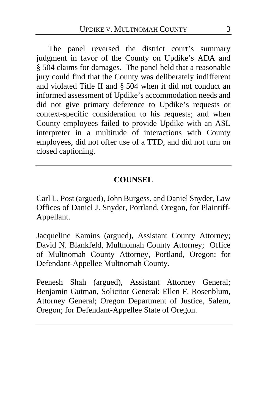The panel reversed the district court's summary judgment in favor of the County on Updike's ADA and § 504 claims for damages. The panel held that a reasonable jury could find that the County was deliberately indifferent and violated Title II and § 504 when it did not conduct an informed assessment of Updike's accommodation needs and did not give primary deference to Updike's requests or context-specific consideration to his requests; and when County employees failed to provide Updike with an ASL interpreter in a multitude of interactions with County employees, did not offer use of a TTD, and did not turn on closed captioning.

# **COUNSEL**

Carl L. Post (argued), John Burgess, and Daniel Snyder, Law Offices of Daniel J. Snyder, Portland, Oregon, for Plaintiff-Appellant.

Jacqueline Kamins (argued), Assistant County Attorney; David N. Blankfeld, Multnomah County Attorney; Office of Multnomah County Attorney, Portland, Oregon; for Defendant-Appellee Multnomah County.

Peenesh Shah (argued), Assistant Attorney General; Benjamin Gutman, Solicitor General; Ellen F. Rosenblum, Attorney General; Oregon Department of Justice, Salem, Oregon; for Defendant-Appellee State of Oregon.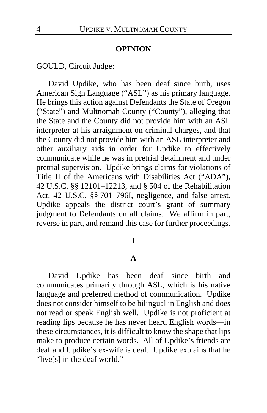#### **OPINION**

GOULD, Circuit Judge:

David Updike, who has been deaf since birth, uses American Sign Language ("ASL") as his primary language. He brings this action against Defendants the State of Oregon ("State") and Multnomah County ("County"), alleging that the State and the County did not provide him with an ASL interpreter at his arraignment on criminal charges, and that the County did not provide him with an ASL interpreter and other auxiliary aids in order for Updike to effectively communicate while he was in pretrial detainment and under pretrial supervision. Updike brings claims for violations of Title II of the Americans with Disabilities Act ("ADA"), 42 U.S.C. §§ 12101–12213, and § 504 of the Rehabilitation Act, 42 U.S.C. §§ 701–796I, negligence, and false arrest. Updike appeals the district court's grant of summary judgment to Defendants on all claims. We affirm in part, reverse in part, and remand this case for further proceedings.

### **I**

#### **A**

David Updike has been deaf since birth and communicates primarily through ASL, which is his native language and preferred method of communication. Updike does not consider himself to be bilingual in English and does not read or speak English well. Updike is not proficient at reading lips because he has never heard English words—in these circumstances, it is difficult to know the shape that lips make to produce certain words. All of Updike's friends are deaf and Updike's ex-wife is deaf. Updike explains that he "live[s] in the deaf world."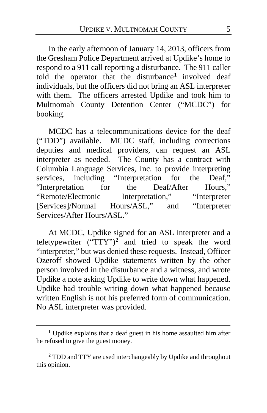In the early afternoon of January 14, 2013, officers from the Gresham Police Department arrived at Updike's home to respond to a 911 call reporting a disturbance. The 911 caller told the operator that the disturbance**[1](#page-4-0)** involved deaf individuals, but the officers did not bring an ASL interpreter with them. The officers arrested Updike and took him to Multnomah County Detention Center ("MCDC") for booking.

MCDC has a telecommunications device for the deaf ("TDD") available. MCDC staff, including corrections deputies and medical providers, can request an ASL interpreter as needed. The County has a contract with Columbia Language Services, Inc. to provide interpreting services, including "Interpretation for the Deaf,"<br>"Interpretation for the Deaf/After Hours." "Interpretation for the Deaf/After "Remote/Electronic Interpretation," "Interpreter<br>
[Services]/Normal Hours/ASL," and "Interpreter [Services]/Normal Hours/ASL," and Services/After Hours/ASL."

At MCDC, Updike signed for an ASL interpreter and a teletypewriter ("TTY")**[2](#page-4-1)** and tried to speak the word "interpreter," but was denied these requests. Instead, Officer Ozeroff showed Updike statements written by the other person involved in the disturbance and a witness, and wrote Updike a note asking Updike to write down what happened. Updike had trouble writing down what happened because written English is not his preferred form of communication. No ASL interpreter was provided.

 $\overline{a}$ 

<span id="page-4-1"></span>**<sup>2</sup>** TDD and TTY are used interchangeably by Updike and throughout this opinion.

<span id="page-4-0"></span>**<sup>1</sup>** Updike explains that a deaf guest in his home assaulted him after he refused to give the guest money.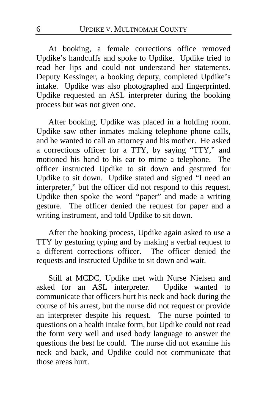At booking, a female corrections office removed Updike's handcuffs and spoke to Updike. Updike tried to read her lips and could not understand her statements. Deputy Kessinger, a booking deputy, completed Updike's intake.Updike was also photographed and fingerprinted. Updike requested an ASL interpreter during the booking process but was not given one.

After booking, Updike was placed in a holding room. Updike saw other inmates making telephone phone calls, and he wanted to call an attorney and his mother. He asked a corrections officer for a TTY, by saying "TTY," and motioned his hand to his ear to mime a telephone. The officer instructed Updike to sit down and gestured for Updike to sit down. Updike stated and signed "I need an interpreter," but the officer did not respond to this request. Updike then spoke the word "paper" and made a writing gesture. The officer denied the request for paper and a writing instrument, and told Updike to sit down.

After the booking process, Updike again asked to use a TTY by gesturing typing and by making a verbal request to a different corrections officer. The officer denied the requests and instructed Updike to sit down and wait.

Still at MCDC, Updike met with Nurse Nielsen and asked for an ASL interpreter. Updike wanted to communicate that officers hurt his neck and back during the course of his arrest, but the nurse did not request or provide an interpreter despite his request. The nurse pointed to questions on a health intake form, but Updike could not read the form very well and used body language to answer the questions the best he could. The nurse did not examine his neck and back, and Updike could not communicate that those areas hurt.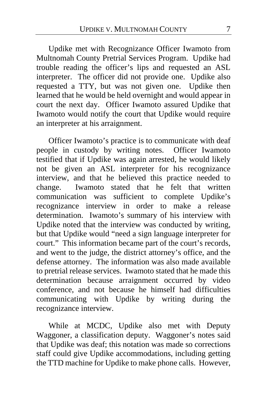Updike met with Recognizance Officer Iwamoto from Multnomah County Pretrial Services Program. Updike had trouble reading the officer's lips and requested an ASL interpreter. The officer did not provide one. Updike also requested a TTY, but was not given one. Updike then learned that he would be held overnight and would appear in court the next day. Officer Iwamoto assured Updike that Iwamoto would notify the court that Updike would require an interpreter at his arraignment.

Officer Iwamoto's practice is to communicate with deaf people in custody by writing notes.Officer Iwamoto testified that if Updike was again arrested, he would likely not be given an ASL interpreter for his recognizance interview, and that he believed this practice needed to change. Iwamoto stated that he felt that written communication was sufficient to complete Updike's recognizance interview in order to make a release determination. Iwamoto's summary of his interview with Updike noted that the interview was conducted by writing, but that Updike would "need a sign language interpreter for court." This information became part of the court's records, and went to the judge, the district attorney's office, and the defense attorney. The information was also made available to pretrial release services. Iwamoto stated that he made this determination because arraignment occurred by video conference, and not because he himself had difficulties communicating with Updike by writing during the recognizance interview.

While at MCDC, Updike also met with Deputy Waggoner, a classification deputy. Waggoner's notes said that Updike was deaf; this notation was made so corrections staff could give Updike accommodations, including getting the TTD machine for Updike to make phone calls. However,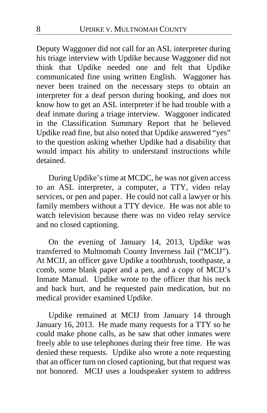Deputy Waggoner did not call for an ASL interpreter during his triage interview with Updike because Waggoner did not think that Updike needed one and felt that Updike communicated fine using written English. Waggoner has never been trained on the necessary steps to obtain an interpreter for a deaf person during booking, and does not know how to get an ASL interpreter if he had trouble with a deaf inmate during a triage interview. Waggoner indicated in the Classification Summary Report that he believed Updike read fine, but also noted that Updike answered "yes" to the question asking whether Updike had a disability that would impact his ability to understand instructions while detained.

During Updike's time at MCDC, he was not given access to an ASL interpreter, a computer, a TTY, video relay services, or pen and paper. He could not call a lawyer or his family members without a TTY device. He was not able to watch television because there was no video relay service and no closed captioning.

On the evening of January 14, 2013, Updike was transferred to Multnomah County Inverness Jail ("MCIJ"). At MCIJ, an officer gave Updike a toothbrush, toothpaste, a comb, some blank paper and a pen, and a copy of MCIJ's Inmate Manual. Updike wrote to the officer that his neck and back hurt, and he requested pain medication, but no medical provider examined Updike.

Updike remained at MCIJ from January 14 through January 16, 2013. He made many requests for a TTY so he could make phone calls, as he saw that other inmates were freely able to use telephones during their free time. He was denied these requests. Updike also wrote a note requesting that an officer turn on closed captioning, but that request was not honored. MCIJ uses a loudspeaker system to address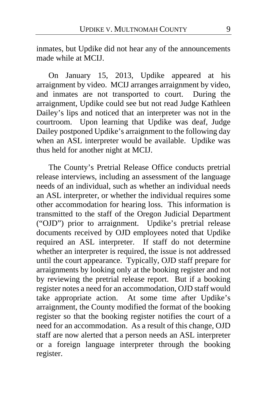inmates, but Updike did not hear any of the announcements made while at MCIJ.

On January 15, 2013, Updike appeared at his arraignment by video. MCIJ arranges arraignment by video, and inmates are not transported to court. During the arraignment, Updike could see but not read Judge Kathleen Dailey's lips and noticed that an interpreter was not in the courtroom. Upon learning that Updike was deaf, Judge Dailey postponed Updike's arraignment to the following day when an ASL interpreter would be available. Updike was thus held for another night at MCIJ.

The County's Pretrial Release Office conducts pretrial release interviews, including an assessment of the language needs of an individual, such as whether an individual needs an ASL interpreter, or whether the individual requires some other accommodation for hearing loss. This information is transmitted to the staff of the Oregon Judicial Department ("OJD") prior to arraignment. Updike's pretrial release documents received by OJD employees noted that Updike required an ASL interpreter. If staff do not determine whether an interpreter is required, the issue is not addressed until the court appearance. Typically, OJD staff prepare for arraignments by looking only at the booking register and not by reviewing the pretrial release report. But if a booking register notes a need for an accommodation, OJD staff would take appropriate action. At some time after Updike's arraignment, the County modified the format of the booking register so that the booking register notifies the court of a need for an accommodation. As a result of this change, OJD staff are now alerted that a person needs an ASL interpreter or a foreign language interpreter through the booking register.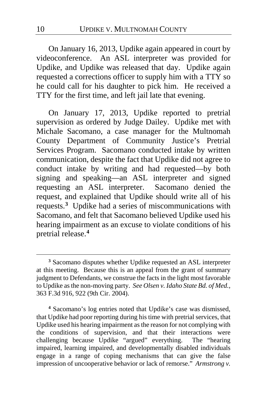On January 16, 2013, Updike again appeared in court by videoconference. An ASL interpreter was provided for Updike, and Updike was released that day. Updike again requested a corrections officer to supply him with a TTY so he could call for his daughter to pick him. He received a TTY for the first time, and left jail late that evening.

On January 17, 2013, Updike reported to pretrial supervision as ordered by Judge Dailey. Updike met with Michale Sacomano, a case manager for the Multnomah County Department of Community Justice's Pretrial Services Program. Sacomano conducted intake by written communication, despite the fact that Updike did not agree to conduct intake by writing and had requested—by both signing and speaking—an ASL interpreter and signed requesting an ASL interpreter. Sacomano denied the request, and explained that Updike should write all of his requests.**[3](#page-9-0)** Updike had a series of miscommunications with Sacomano, and felt that Sacomano believed Updike used his hearing impairment as an excuse to violate conditions of his pretrial release.**[4](#page-9-1)**

<span id="page-9-1"></span>**<sup>4</sup>** Sacomano's log entries noted that Updike's case was dismissed, that Updike had poor reporting during his time with pretrial services, that Updike used his hearing impairment as the reason for not complying with the conditions of supervision, and that their interactions were challenging because Updike "argued" everything. The "hearing impaired, learning impaired, and developmentally disabled individuals engage in a range of coping mechanisms that can give the false impression of uncooperative behavior or lack of remorse." *Armstrong v.* 

 $\overline{a}$ 

<span id="page-9-0"></span>**<sup>3</sup>** Sacomano disputes whether Updike requested an ASL interpreter at this meeting. Because this is an appeal from the grant of summary judgment to Defendants, we construe the facts in the light most favorable to Updike as the non-moving party. *See Olsen v. Idaho State Bd. of Med.*, 363 F.3d 916, 922 (9th Cir. 2004).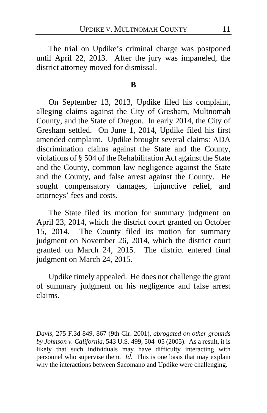The trial on Updike's criminal charge was postponed until April 22, 2013. After the jury was impaneled, the district attorney moved for dismissal.

#### **B**

On September 13, 2013, Updike filed his complaint, alleging claims against the City of Gresham, Multnomah County, and the State of Oregon. In early 2014, the City of Gresham settled. On June 1, 2014, Updike filed his first amended complaint. Updike brought several claims: ADA discrimination claims against the State and the County, violations of § 504 of the Rehabilitation Act against the State and the County, common law negligence against the State and the County, and false arrest against the County. He sought compensatory damages, injunctive relief, and attorneys' fees and costs.

The State filed its motion for summary judgment on April 23, 2014, which the district court granted on October 15, 2014. The County filed its motion for summary judgment on November 26, 2014, which the district court granted on March 24, 2015. The district entered final judgment on March 24, 2015.

Updike timely appealed.He does not challenge the grant of summary judgment on his negligence and false arrest claims.

 $\overline{a}$ 

*Davis*, 275 F.3d 849, 867 (9th Cir. 2001), *abrogated on other grounds by Johnson v. California*, 543 U.S. 499, 504–05 (2005). As a result, it is likely that such individuals may have difficulty interacting with personnel who supervise them. *Id.* This is one basis that may explain why the interactions between Sacomano and Updike were challenging.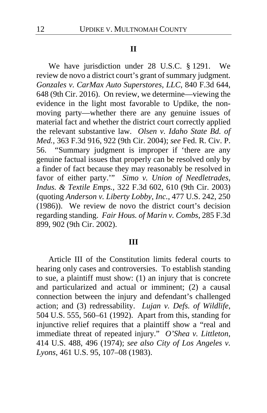#### **II**

We have jurisdiction under 28 U.S.C. § 1291. We review de novo a district court's grant of summary judgment. *Gonzales v. CarMax Auto Superstores, LLC*, 840 F.3d 644, 648 (9th Cir. 2016). On review, we determine—viewing the evidence in the light most favorable to Updike, the nonmoving party—whether there are any genuine issues of material fact and whether the district court correctly applied the relevant substantive law. *Olsen v. Idaho State Bd. of Med.*, 363 F.3d 916, 922 (9th Cir. 2004); *see* Fed. R. Civ. P. 56. "Summary judgment is improper if 'there are any genuine factual issues that properly can be resolved only by a finder of fact because they may reasonably be resolved in favor of either party.'" *Simo v. Union of Needletrades, Indus. & Textile Emps.*, 322 F.3d 602, 610 (9th Cir. 2003) (quoting *Anderson v. Liberty Lobby, Inc.*, 477 U.S. 242, 250 (1986)). We review de novo the district court's decision regarding standing. *Fair Hous. of Marin v. Combs*, 285 F.3d 899, 902 (9th Cir. 2002).

#### **III**

Article III of the Constitution limits federal courts to hearing only cases and controversies. To establish standing to sue, a plaintiff must show: (1) an injury that is concrete and particularized and actual or imminent; (2) a causal connection between the injury and defendant's challenged action; and (3) redressability. *Lujan v. Defs. of Wildlife*, 504 U.S. 555, 560–61 (1992). Apart from this, standing for injunctive relief requires that a plaintiff show a "real and immediate threat of repeated injury." *O'Shea v. Littleton*, 414 U.S. 488, 496 (1974); *see also City of Los Angeles v. Lyons*, 461 U.S. 95, 107–08 (1983).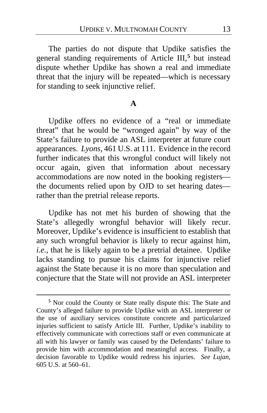The parties do not dispute that Updike satisfies the general standing requirements of Article III,**[5](#page-12-0)** but instead dispute whether Updike has shown a real and immediate threat that the injury will be repeated—which is necessary for standing to seek injunctive relief.

#### **A**

Updike offers no evidence of a "real or immediate threat" that he would be "wronged again" by way of the State's failure to provide an ASL interpreter at future court appearances. *Lyons*, 461 U.S. at 111. Evidence in the record further indicates that this wrongful conduct will likely not occur again, given that information about necessary accommodations are now noted in the booking registers the documents relied upon by OJD to set hearing dates rather than the pretrial release reports.

Updike has not met his burden of showing that the State's allegedly wrongful behavior will likely recur. Moreover, Updike's evidence is insufficient to establish that any such wrongful behavior is likely to recur against him, *i.e.*, that he is likely again to be a pretrial detainee. Updike lacks standing to pursue his claims for injunctive relief against the State because it is no more than speculation and conjecture that the State will not provide an ASL interpreter

 $\overline{a}$ 

<span id="page-12-0"></span>**<sup>5</sup>** Nor could the County or State really dispute this: The State and County's alleged failure to provide Updike with an ASL interpreter or the use of auxiliary services constitute concrete and particularized injuries sufficient to satisfy Article III. Further, Updike's inability to effectively communicate with corrections staff or even communicate at all with his lawyer or family was caused by the Defendants' failure to provide him with accommodation and meaningful access. Finally, a decision favorable to Updike would redress his injuries. *See Lujan*, 605 U.S. at 560–61.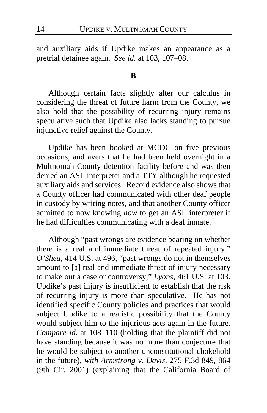and auxiliary aids if Updike makes an appearance as a pretrial detainee again. *See id.* at 103, 107–08.

#### **B**

Although certain facts slightly alter our calculus in considering the threat of future harm from the County, we also hold that the possibility of recurring injury remains speculative such that Updike also lacks standing to pursue injunctive relief against the County.

Updike has been booked at MCDC on five previous occasions, and avers that he had been held overnight in a Multnomah County detention facility before and was then denied an ASL interpreter and a TTY although he requested auxiliary aids and services. Record evidence also shows that a County officer had communicated with other deaf people in custody by writing notes, and that another County officer admitted to now knowing *how* to get an ASL interpreter if he had difficulties communicating with a deaf inmate.

Although "past wrongs are evidence bearing on whether there is a real and immediate threat of repeated injury," *O'Shea*, 414 U.S. at 496, "past wrongs do not in themselves amount to [a] real and immediate threat of injury necessary to make out a case or controversy," *Lyons*, 461 U.S. at 103. Updike's past injury is insufficient to establish that the risk of recurring injury is more than speculative. He has not identified specific County policies and practices that would subject Updike to a realistic possibility that the County would subject him to the injurious acts again in the future. *Compare id.* at 108–110 (holding that the plaintiff did not have standing because it was no more than conjecture that he would be subject to another unconstitutional chokehold in the future), *with Armstrong v. Davis*, 275 F.3d 849, 864 (9th Cir. 2001) (explaining that the California Board of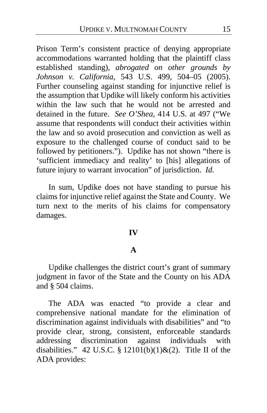Prison Term's consistent practice of denying appropriate accommodations warranted holding that the plaintiff class established standing), *abrogated on other grounds by Johnson v. California*, 543 U.S. 499, 504–05 (2005). Further counseling against standing for injunctive relief is the assumption that Updike will likely conform his activities within the law such that he would not be arrested and detained in the future. *See O'Shea*, 414 U.S. at 497 ("We assume that respondents will conduct their activities within the law and so avoid prosecution and conviction as well as exposure to the challenged course of conduct said to be followed by petitioners."). Updike has not shown "there is 'sufficient immediacy and reality' to [his] allegations of future injury to warrant invocation" of jurisdiction. *Id.*

In sum, Updike does not have standing to pursue his claims for injunctive relief against the State and County. We turn next to the merits of his claims for compensatory damages.

#### **IV**

## **A**

Updike challenges the district court's grant of summary judgment in favor of the State and the County on his ADA and § 504 claims.

The ADA was enacted "to provide a clear and comprehensive national mandate for the elimination of discrimination against individuals with disabilities" and "to provide clear, strong, consistent, enforceable standards addressing discrimination against individuals with disabilities." 42 U.S.C. § 12101(b)(1)&(2). Title II of the ADA provides: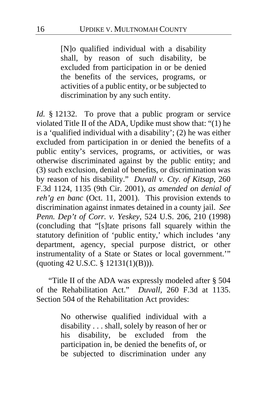[N]o qualified individual with a disability shall, by reason of such disability, be excluded from participation in or be denied the benefits of the services, programs, or activities of a public entity, or be subjected to discrimination by any such entity.

*Id.* § 12132. To prove that a public program or service violated Title II of the ADA, Updike must show that: "(1) he is a 'qualified individual with a disability'; (2) he was either excluded from participation in or denied the benefits of a public entity's services, programs, or activities, or was otherwise discriminated against by the public entity; and (3) such exclusion, denial of benefits, or discrimination was by reason of his disability." *Duvall v. Cty. of Kitsap*, 260 F.3d 1124, 1135 (9th Cir. 2001), *as amended on denial of reh'g en banc* (Oct. 11, 2001). This provision extends to discrimination against inmates detained in a county jail. *See Penn. Dep't of Corr. v. Yeskey*, 524 U.S. 206, 210 (1998) (concluding that "[s]tate prisons fall squarely within the statutory definition of 'public entity,' which includes 'any department, agency, special purpose district, or other instrumentality of a State or States or local government.'" (quoting 42 U.S.C. § 12131(1)(B))).

"Title II of the ADA was expressly modeled after § 504 of the Rehabilitation Act." *Duvall*, 260 F.3d at 1135. Section 504 of the Rehabilitation Act provides:

> No otherwise qualified individual with a disability . . . shall, solely by reason of her or his disability, be excluded from the participation in, be denied the benefits of, or be subjected to discrimination under any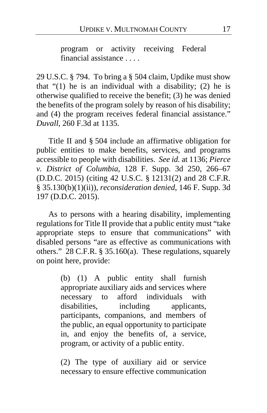program or activity receiving Federal financial assistance . . . .

29 U.S.C. § 794. To bring a § 504 claim, Updike must show that  $(1)$  he is an individual with a disability; (2) he is otherwise qualified to receive the benefit; (3) he was denied the benefits of the program solely by reason of his disability; and (4) the program receives federal financial assistance." *Duvall*, 260 F.3d at 1135.

Title II and § 504 include an affirmative obligation for public entities to make benefits, services, and programs accessible to people with disabilities. *See id.* at 1136; *Pierce v. District of Columbia*, 128 F. Supp. 3d 250, 266–67 (D.D.C. 2015) (citing 42 U.S.C. § 12131(2) and 28 C.F.R. § 35.130(b)(1)(ii)), *reconsideration denied*, 146 F. Supp. 3d 197 (D.D.C. 2015).

As to persons with a hearing disability, implementing regulations for Title II provide that a public entity must "take appropriate steps to ensure that communications" with disabled persons "are as effective as communications with others." 28 C.F.R. § 35.160(a). These regulations, squarely on point here, provide:

> (b) (1) A public entity shall furnish appropriate auxiliary aids and services where necessary to afford individuals with disabilities, including applicants, participants, companions, and members of the public, an equal opportunity to participate in, and enjoy the benefits of, a service, program, or activity of a public entity.

> (2) The type of auxiliary aid or service necessary to ensure effective communication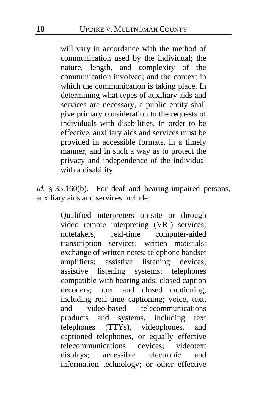will vary in accordance with the method of communication used by the individual; the nature, length, and complexity of the communication involved; and the context in which the communication is taking place. In determining what types of auxiliary aids and services are necessary, a public entity shall give primary consideration to the requests of individuals with disabilities. In order to be effective, auxiliary aids and services must be provided in accessible formats, in a timely manner, and in such a way as to protect the privacy and independence of the individual with a disability.

*Id.* § 35.160(b). For deaf and hearing-impaired persons, auxiliary aids and services include:

> Qualified interpreters on-site or through video remote interpreting (VRI) services; notetakers; real-time computer-aided transcription services; written materials; exchange of written notes; telephone handset amplifiers; assistive listening devices; assistive listening systems; telephones compatible with hearing aids; closed caption decoders; open and closed captioning, including real-time captioning; voice, text, and video-based telecommunications products and systems, including text telephones (TTYs), videophones, and captioned telephones, or equally effective telecommunications devices; videotext displays; accessible electronic and information technology; or other effective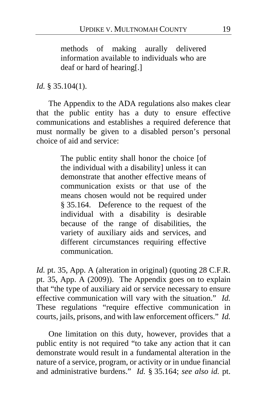methods of making aurally delivered information available to individuals who are deaf or hard of hearing[.]

*Id.* § 35.104(1).

The Appendix to the ADA regulations also makes clear that the public entity has a duty to ensure effective communications and establishes a required deference that must normally be given to a disabled person's personal choice of aid and service:

> The public entity shall honor the choice [of the individual with a disability] unless it can demonstrate that another effective means of communication exists or that use of the means chosen would not be required under § 35.164. Deference to the request of the individual with a disability is desirable because of the range of disabilities, the variety of auxiliary aids and services, and different circumstances requiring effective communication.

*Id.* pt. 35, App. A (alteration in original) (quoting 28 C.F.R. pt. 35, App. A (2009)). The Appendix goes on to explain that "the type of auxiliary aid or service necessary to ensure effective communication will vary with the situation." *Id.* These regulations "require effective communication in courts, jails, prisons, and with law enforcement officers." *Id.*

One limitation on this duty, however, provides that a public entity is not required "to take any action that it can demonstrate would result in a fundamental alteration in the nature of a service, program, or activity or in undue financial and administrative burdens." *Id.* § 35.164; *see also id.* pt.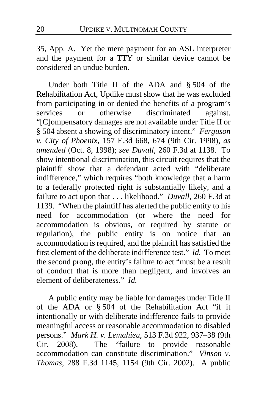35, App. A. Yet the mere payment for an ASL interpreter and the payment for a TTY or similar device cannot be considered an undue burden.

Under both Title II of the ADA and § 504 of the Rehabilitation Act, Updike must show that he was excluded from participating in or denied the benefits of a program's<br>services or otherwise discriminated against. services or otherwise discriminated against. "[C]ompensatory damages are not available under Title II or § 504 absent a showing of discriminatory intent." *Ferguson v. City of Phoenix*, 157 F.3d 668, 674 (9th Cir. 1998), *as amended* (Oct. 8, 1998); *see Duvall*, 260 F.3d at 1138. To show intentional discrimination, this circuit requires that the plaintiff show that a defendant acted with "deliberate indifference," which requires "both knowledge that a harm to a federally protected right is substantially likely, and a failure to act upon that . . . likelihood." *Duvall*, 260 F.3d at 1139. "When the plaintiff has alerted the public entity to his need for accommodation (or where the need for accommodation is obvious, or required by statute or regulation), the public entity is on notice that an accommodation is required, and the plaintiff has satisfied the first element of the deliberate indifference test." *Id.* To meet the second prong, the entity's failure to act "must be a result of conduct that is more than negligent, and involves an element of deliberateness." *Id.*

A public entity may be liable for damages under Title II of the ADA or § 504 of the Rehabilitation Act "if it intentionally or with deliberate indifference fails to provide meaningful access or reasonable accommodation to disabled persons." *Mark H. v. Lemahieu*, 513 F.3d 922, 937–38 (9th Cir. 2008). The "failure to provide reasonable accommodation can constitute discrimination." *Vinson v. Thomas*, 288 F.3d 1145, 1154 (9th Cir. 2002). A public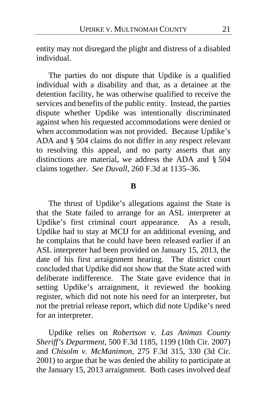entity may not disregard the plight and distress of a disabled individual.

The parties do not dispute that Updike is a qualified individual with a disability and that, as a detainee at the detention facility, he was otherwise qualified to receive the services and benefits of the public entity. Instead, the parties dispute whether Updike was intentionally discriminated against when his requested accommodations were denied or when accommodation was not provided. Because Updike's ADA and § 504 claims do not differ in any respect relevant to resolving this appeal, and no party asserts that any distinctions are material, we address the ADA and § 504 claims together. *See Duvall*, 260 F.3d at 1135–36.

#### **B**

The thrust of Updike's allegations against the State is that the State failed to arrange for an ASL interpreter at Updike's first criminal court appearance. As a result, Updike had to stay at MCIJ for an additional evening, and he complains that he could have been released earlier if an ASL interpreter had been provided on January 15, 2013, the date of his first arraignment hearing. The district court concluded that Updike did not show that the State acted with deliberate indifference. The State gave evidence that in setting Updike's arraignment, it reviewed the booking register, which did not note his need for an interpreter, but not the pretrial release report, which did note Updike's need for an interpreter.

Updike relies on *Robertson v. Las Animas County Sheriff's Department*, 500 F.3d 1185, 1199 (10th Cir. 2007) and *Chisolm v. McManimon*, 275 F.3d 315, 330 (3d Cir. 2001) to argue that he was denied the ability to participate at the January 15, 2013 arraignment. Both cases involved deaf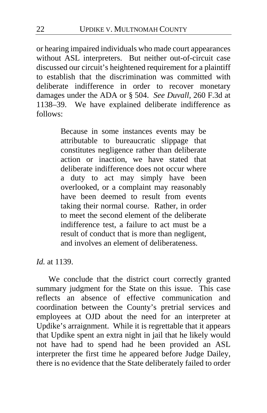or hearing impaired individuals who made court appearances without ASL interpreters. But neither out-of-circuit case discussed our circuit's heightened requirement for a plaintiff to establish that the discrimination was committed with deliberate indifference in order to recover monetary damages under the ADA or § 504. *See Duvall*, 260 F.3d at 1138–39. We have explained deliberate indifference as follows:

> Because in some instances events may be attributable to bureaucratic slippage that constitutes negligence rather than deliberate action or inaction, we have stated that deliberate indifference does not occur where a duty to act may simply have been overlooked, or a complaint may reasonably have been deemed to result from events taking their normal course. Rather, in order to meet the second element of the deliberate indifference test, a failure to act must be a result of conduct that is more than negligent, and involves an element of deliberateness.

*Id.* at 1139.

We conclude that the district court correctly granted summary judgment for the State on this issue. This case reflects an absence of effective communication and coordination between the County's pretrial services and employees at OJD about the need for an interpreter at Updike's arraignment. While it is regrettable that it appears that Updike spent an extra night in jail that he likely would not have had to spend had he been provided an ASL interpreter the first time he appeared before Judge Dailey, there is no evidence that the State deliberately failed to order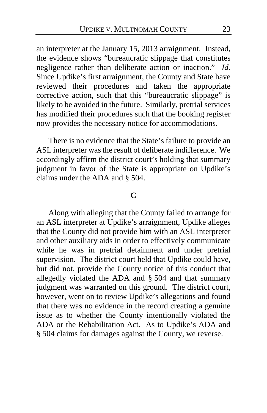an interpreter at the January 15, 2013 arraignment. Instead, the evidence shows "bureaucratic slippage that constitutes negligence rather than deliberate action or inaction." *Id.* Since Updike's first arraignment, the County and State have reviewed their procedures and taken the appropriate corrective action, such that this "bureaucratic slippage" is likely to be avoided in the future. Similarly, pretrial services has modified their procedures such that the booking register now provides the necessary notice for accommodations.

There is no evidence that the State's failure to provide an ASL interpreter was the result of deliberate indifference. We accordingly affirm the district court's holding that summary judgment in favor of the State is appropriate on Updike's claims under the ADA and § 504.

#### **C**

Along with alleging that the County failed to arrange for an ASL interpreter at Updike's arraignment, Updike alleges that the County did not provide him with an ASL interpreter and other auxiliary aids in order to effectively communicate while he was in pretrial detainment and under pretrial supervision. The district court held that Updike could have, but did not, provide the County notice of this conduct that allegedly violated the ADA and § 504 and that summary judgment was warranted on this ground. The district court, however, went on to review Updike's allegations and found that there was no evidence in the record creating a genuine issue as to whether the County intentionally violated the ADA or the Rehabilitation Act. As to Updike's ADA and § 504 claims for damages against the County, we reverse.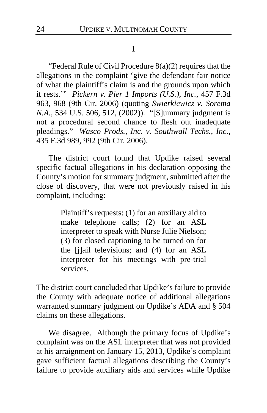#### **1**

"Federal Rule of Civil Procedure 8(a)(2) requires that the allegations in the complaint 'give the defendant fair notice of what the plaintiff's claim is and the grounds upon which it rests.'" *Pickern v. Pier 1 Imports (U.S.), Inc.*, 457 F.3d 963, 968 (9th Cir. 2006) (quoting *Swierkiewicz v. Sorema N.A.*, 534 U.S. 506, 512, (2002)). "[S]ummary judgment is not a procedural second chance to flesh out inadequate pleadings." *Wasco Prods., Inc. v. Southwall Techs., Inc.*, 435 F.3d 989, 992 (9th Cir. 2006).

The district court found that Updike raised several specific factual allegations in his declaration opposing the County's motion for summary judgment, submitted after the close of discovery, that were not previously raised in his complaint, including:

> Plaintiff's requests: (1) for an auxiliary aid to make telephone calls; (2) for an ASL interpreter to speak with Nurse Julie Nielson; (3) for closed captioning to be turned on for the [j]ail televisions; and (4) for an ASL interpreter for his meetings with pre-trial services.

The district court concluded that Updike's failure to provide the County with adequate notice of additional allegations warranted summary judgment on Updike's ADA and § 504 claims on these allegations.

We disagree. Although the primary focus of Updike's complaint was on the ASL interpreter that was not provided at his arraignment on January 15, 2013, Updike's complaint gave sufficient factual allegations describing the County's failure to provide auxiliary aids and services while Updike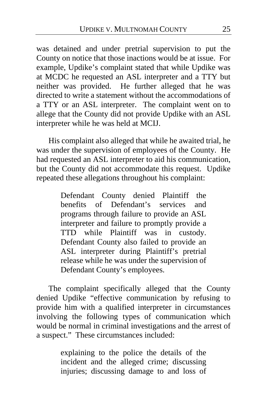was detained and under pretrial supervision to put the County on notice that those inactions would be at issue. For example, Updike's complaint stated that while Updike was at MCDC he requested an ASL interpreter and a TTY but neither was provided. He further alleged that he was directed to write a statement without the accommodations of a TTY or an ASL interpreter. The complaint went on to allege that the County did not provide Updike with an ASL interpreter while he was held at MCIJ.

His complaint also alleged that while he awaited trial, he was under the supervision of employees of the County. He had requested an ASL interpreter to aid his communication, but the County did not accommodate this request. Updike repeated these allegations throughout his complaint:

> Defendant County denied Plaintiff the benefits of Defendant's services and programs through failure to provide an ASL interpreter and failure to promptly provide a TTD while Plaintiff was in custody. Defendant County also failed to provide an ASL interpreter during Plaintiff's pretrial release while he was under the supervision of Defendant County's employees.

The complaint specifically alleged that the County denied Updike "effective communication by refusing to provide him with a qualified interpreter in circumstances involving the following types of communication which would be normal in criminal investigations and the arrest of a suspect." These circumstances included:

> explaining to the police the details of the incident and the alleged crime; discussing injuries; discussing damage to and loss of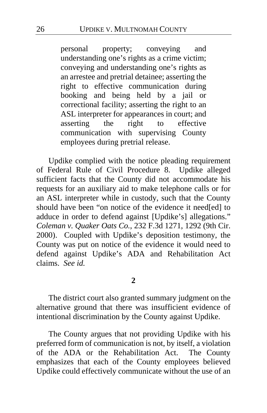personal property; conveying and understanding one's rights as a crime victim; conveying and understanding one's rights as an arrestee and pretrial detainee; asserting the right to effective communication during booking and being held by a jail or correctional facility; asserting the right to an ASL interpreter for appearances in court; and<br>asserting the right to effective asserting the right to effective communication with supervising County employees during pretrial release.

Updike complied with the notice pleading requirement of Federal Rule of Civil Procedure 8. Updike alleged sufficient facts that the County did not accommodate his requests for an auxiliary aid to make telephone calls or for an ASL interpreter while in custody, such that the County should have been "on notice of the evidence it need[ed] to adduce in order to defend against [Updike's] allegations." *Coleman v. Quaker Oats Co.*, 232 F.3d 1271, 1292 (9th Cir. 2000). Coupled with Updike's deposition testimony, the County was put on notice of the evidence it would need to defend against Updike's ADA and Rehabilitation Act claims. *See id.*

**2**

The district court also granted summary judgment on the alternative ground that there was insufficient evidence of intentional discrimination by the County against Updike.

The County argues that not providing Updike with his preferred form of communication is not, by itself, a violation of the ADA or the Rehabilitation Act. The County emphasizes that each of the County employees believed Updike could effectively communicate without the use of an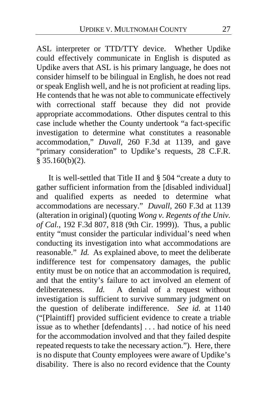ASL interpreter or TTD/TTY device. Whether Updike could effectively communicate in English is disputed as Updike avers that ASL is his primary language, he does not consider himself to be bilingual in English, he does not read or speak English well, and he is not proficient at reading lips. He contends that he was not able to communicate effectively with correctional staff because they did not provide appropriate accommodations. Other disputes central to this case include whether the County undertook "a fact-specific investigation to determine what constitutes a reasonable accommodation," *Duvall*, 260 F.3d at 1139, and gave "primary consideration" to Updike's requests, 28 C.F.R.  $\frac{2}{3}$  35.160(b)(2).

It is well-settled that Title II and § 504 "create a duty to gather sufficient information from the [disabled individual] and qualified experts as needed to determine what accommodations are necessary." *Duvall*, 260 F.3d at 1139 (alteration in original) (quoting *Wong v. Regents of the Univ. of Cal.*, 192 F.3d 807, 818 (9th Cir. 1999)). Thus, a public entity "must consider the particular individual's need when conducting its investigation into what accommodations are reasonable." *Id.* As explained above, to meet the deliberate indifference test for compensatory damages, the public entity must be on notice that an accommodation is required, and that the entity's failure to act involved an element of deliberateness. *Id.* A denial of a request without investigation is sufficient to survive summary judgment on the question of deliberate indifference. *See id.* at 1140 ("[Plaintiff] provided sufficient evidence to create a triable issue as to whether [defendants] . . . had notice of his need for the accommodation involved and that they failed despite repeated requests to take the necessary action."). Here, there is no dispute that County employees were aware of Updike's disability. There is also no record evidence that the County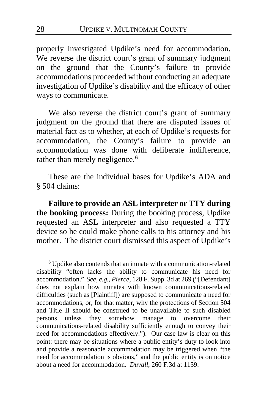properly investigated Updike's need for accommodation. We reverse the district court's grant of summary judgment on the ground that the County's failure to provide accommodations proceeded without conducting an adequate investigation of Updike's disability and the efficacy of other ways to communicate.

We also reverse the district court's grant of summary judgment on the ground that there are disputed issues of material fact as to whether, at each of Updike's requests for accommodation, the County's failure to provide an accommodation was done with deliberate indifference, rather than merely negligence.**[6](#page-27-0)**

These are the individual bases for Updike's ADA and § 504 claims:

**Failure to provide an ASL interpreter or TTY during the booking process:** During the booking process, Updike requested an ASL interpreter and also requested a TTY device so he could make phone calls to his attorney and his mother. The district court dismissed this aspect of Updike's

 $\overline{a}$ 

<span id="page-27-0"></span>**<sup>6</sup>** Updike also contends that an inmate with a communication-related disability "often lacks the ability to communicate his need for accommodation." *See, e.g.*, *Pierce*, 128 F. Supp. 3d at 269 ("[Defendant] does not explain how inmates with known communications-related difficulties (such as [Plaintiff]) are supposed to communicate a need for accommodations, or, for that matter, why the protections of Section 504 and Title II should be construed to be unavailable to such disabled persons unless they somehow manage to overcome their communications-related disability sufficiently enough to convey their need for accommodations effectively."). Our case law is clear on this point: there may be situations where a public entity's duty to look into and provide a reasonable accommodation may be triggered when "the need for accommodation is obvious," and the public entity is on notice about a need for accommodation. *Duvall*, 260 F.3d at 1139.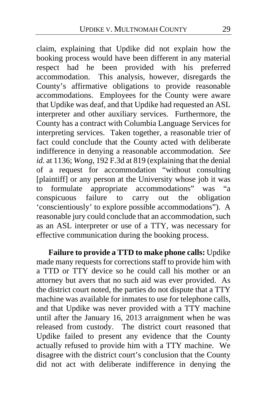claim, explaining that Updike did not explain how the booking process would have been different in any material respect had he been provided with his preferred accommodation. This analysis, however, disregards the County's affirmative obligations to provide reasonable accommodations. Employees for the County were aware that Updike was deaf, and that Updike had requested an ASL interpreter and other auxiliary services. Furthermore, the County has a contract with Columbia Language Services for interpreting services. Taken together, a reasonable trier of fact could conclude that the County acted with deliberate indifference in denying a reasonable accommodation. *See id.* at 1136; *Wong*, 192 F.3d at 819 (explaining that the denial of a request for accommodation "without consulting [plaintiff] or any person at the University whose job it was to formulate appropriate accommodations" was "a<br>conspicuous failure to carry out the obligation conspicuous failure to carry out the 'conscientiously' to explore possible accommodations"). A reasonable jury could conclude that an accommodation, such as an ASL interpreter or use of a TTY, was necessary for effective communication during the booking process.

**Failure to provide a TTD to make phone calls:** Updike made many requests for corrections staff to provide him with a TTD or TTY device so he could call his mother or an attorney but avers that no such aid was ever provided. As the district court noted, the parties do not dispute that a TTY machine was available for inmates to use for telephone calls, and that Updike was never provided with a TTY machine until after the January 16, 2013 arraignment when he was released from custody. The district court reasoned that Updike failed to present any evidence that the County actually refused to provide him with a TTY machine. We disagree with the district court's conclusion that the County did not act with deliberate indifference in denying the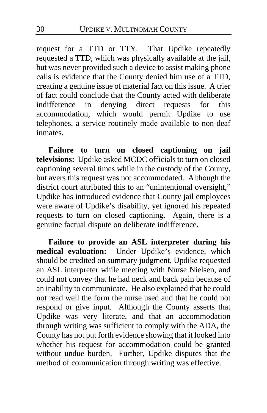request for a TTD or TTY. That Updike repeatedly requested a TTD, which was physically available at the jail, but was never provided such a device to assist making phone calls is evidence that the County denied him use of a TTD, creating a genuine issue of material fact on this issue. A trier of fact could conclude that the County acted with deliberate<br>indifference in denying direct requests for this denying direct requests for this accommodation, which would permit Updike to use telephones, a service routinely made available to non-deaf inmates.

**Failure to turn on closed captioning on jail televisions:** Updike asked MCDC officials to turn on closed captioning several times while in the custody of the County, but avers this request was not accommodated. Although the district court attributed this to an "unintentional oversight," Updike has introduced evidence that County jail employees were aware of Updike's disability, yet ignored his repeated requests to turn on closed captioning. Again, there is a genuine factual dispute on deliberate indifference.

**Failure to provide an ASL interpreter during his medical evaluation:** Under Updike's evidence, which should be credited on summary judgment, Updike requested an ASL interpreter while meeting with Nurse Nielsen, and could not convey that he had neck and back pain because of an inability to communicate. He also explained that he could not read well the form the nurse used and that he could not respond or give input. Although the County asserts that Updike was very literate, and that an accommodation through writing was sufficient to comply with the ADA, the County has not put forth evidence showing that it looked into whether his request for accommodation could be granted without undue burden. Further, Updike disputes that the method of communication through writing was effective.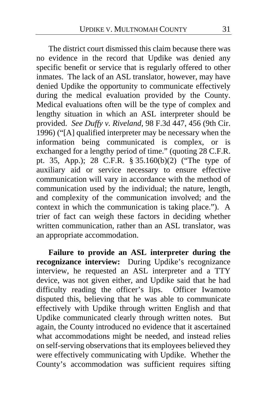The district court dismissed this claim because there was no evidence in the record that Updike was denied any specific benefit or service that is regularly offered to other inmates. The lack of an ASL translator, however, may have denied Updike the opportunity to communicate effectively during the medical evaluation provided by the County. Medical evaluations often will be the type of complex and lengthy situation in which an ASL interpreter should be provided. *See Duffy v. Riveland*, 98 F.3d 447, 456 (9th Cir. 1996) ("[A] qualified interpreter may be necessary when the information being communicated is complex, or is exchanged for a lengthy period of time." (quoting 28 C.F.R. pt. 35, App.); 28 C.F.R. § 35.160(b)(2) ("The type of auxiliary aid or service necessary to ensure effective communication will vary in accordance with the method of communication used by the individual; the nature, length, and complexity of the communication involved; and the context in which the communication is taking place."). A trier of fact can weigh these factors in deciding whether written communication, rather than an ASL translator, was an appropriate accommodation.

**Failure to provide an ASL interpreter during the recognizance interview:** During Updike's recognizance interview, he requested an ASL interpreter and a TTY device, was not given either, and Updike said that he had difficulty reading the officer's lips. Officer Iwamoto disputed this, believing that he was able to communicate effectively with Updike through written English and that Updike communicated clearly through written notes.But again, the County introduced no evidence that it ascertained what accommodations might be needed, and instead relies on self-serving observations that its employees believed they were effectively communicating with Updike. Whether the County's accommodation was sufficient requires sifting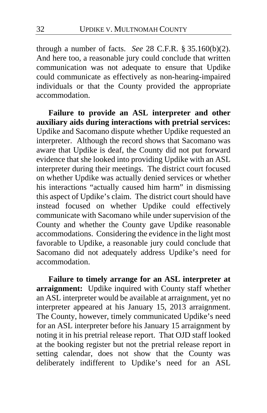through a number of facts. *See* 28 C.F.R. § 35.160(b)(2). And here too, a reasonable jury could conclude that written communication was not adequate to ensure that Updike could communicate as effectively as non-hearing-impaired individuals or that the County provided the appropriate accommodation.

**Failure to provide an ASL interpreter and other auxiliary aids during interactions with pretrial services:** Updike and Sacomano dispute whether Updike requested an interpreter. Although the record shows that Sacomano was aware that Updike is deaf, the County did not put forward evidence that she looked into providing Updike with an ASL interpreter during their meetings. The district court focused on whether Updike was actually denied services or whether his interactions "actually caused him harm" in dismissing this aspect of Updike's claim.The district court should have instead focused on whether Updike could effectively communicate with Sacomano while under supervision of the County and whether the County gave Updike reasonable accommodations. Considering the evidence in the light most favorable to Updike, a reasonable jury could conclude that Sacomano did not adequately address Updike's need for accommodation.

**Failure to timely arrange for an ASL interpreter at arraignment:** Updike inquired with County staff whether an ASL interpreter would be available at arraignment, yet no interpreter appeared at his January 15, 2013 arraignment. The County, however, timely communicated Updike's need for an ASL interpreter before his January 15 arraignment by noting it in his pretrial release report. That OJD staff looked at the booking register but not the pretrial release report in setting calendar, does not show that the County was deliberately indifferent to Updike's need for an ASL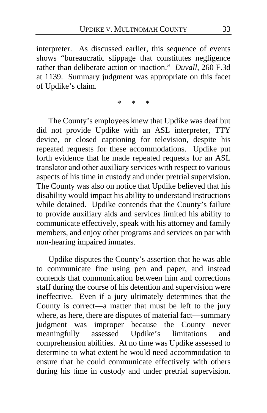interpreter. As discussed earlier, this sequence of events shows "bureaucratic slippage that constitutes negligence rather than deliberate action or inaction." *Duvall*, 260 F.3d at 1139. Summary judgment was appropriate on this facet of Updike's claim.

\* \* \*

The County's employees knew that Updike was deaf but did not provide Updike with an ASL interpreter, TTY device, or closed captioning for television, despite his repeated requests for these accommodations. Updike put forth evidence that he made repeated requests for an ASL translator and other auxiliary services with respect to various aspects of his time in custody and under pretrial supervision. The County was also on notice that Updike believed that his disability would impact his ability to understand instructions while detained. Updike contends that the County's failure to provide auxiliary aids and services limited his ability to communicate effectively, speak with his attorney and family members, and enjoy other programs and services on par with non-hearing impaired inmates.

Updike disputes the County's assertion that he was able to communicate fine using pen and paper, and instead contends that communication between him and corrections staff during the course of his detention and supervision were ineffective. Even if a jury ultimately determines that the County is correct—a matter that must be left to the jury where, as here, there are disputes of material fact—summary judgment was improper because the County never meaningfully assessed Updike's limitations and comprehension abilities. At no time was Updike assessed to determine to what extent he would need accommodation to ensure that he could communicate effectively with others during his time in custody and under pretrial supervision.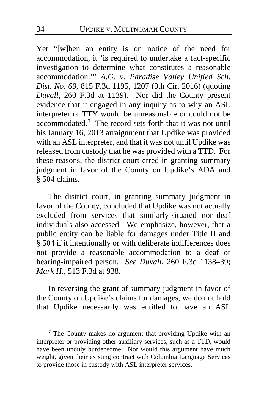Yet "[w]hen an entity is on notice of the need for accommodation, it 'is required to undertake a fact-specific investigation to determine what constitutes a reasonable accommodation.'" *A.G. v. Paradise Valley Unified Sch. Dist. No. 69*, 815 F.3d 1195, 1207 (9th Cir. 2016) (quoting *Duvall*, 260 F.3d at 1139). Nor did the County present evidence that it engaged in any inquiry as to why an ASL interpreter or TTY would be unreasonable or could not be accommodated.**[7](#page-33-0)** The record sets forth that it was not until his January 16, 2013 arraignment that Updike was provided with an ASL interpreter, and that it was not until Updike was released from custody that he was provided with a TTD. For these reasons, the district court erred in granting summary judgment in favor of the County on Updike's ADA and § 504 claims.

The district court, in granting summary judgment in favor of the County, concluded that Updike was not actually excluded from services that similarly-situated non-deaf individuals also accessed. We emphasize, however, that a public entity can be liable for damages under Title II and § 504 if it intentionally or with deliberate indifferences does not provide a reasonable accommodation to a deaf or hearing-impaired person. *See Duvall*, 260 F.3d 1138–39; *Mark H.*, 513 F.3d at 938.

In reversing the grant of summary judgment in favor of the County on Updike's claims for damages, we do not hold that Updike necessarily was entitled to have an ASL

 $\overline{a}$ 

<span id="page-33-0"></span>**<sup>7</sup>** The County makes no argument that providing Updike with an interpreter or providing other auxiliary services, such as a TTD, would have been unduly burdensome. Nor would this argument have much weight, given their existing contract with Columbia Language Services to provide those in custody with ASL interpreter services.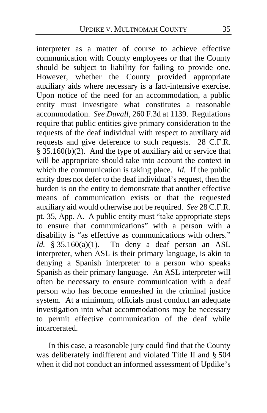interpreter as a matter of course to achieve effective communication with County employees or that the County should be subject to liability for failing to provide one. However, whether the County provided appropriate auxiliary aids where necessary is a fact-intensive exercise. Upon notice of the need for an accommodation, a public entity must investigate what constitutes a reasonable accommodation. *See Duvall*, 260 F.3d at 1139. Regulations require that public entities give primary consideration to the requests of the deaf individual with respect to auxiliary aid requests and give deference to such requests. 28 C.F.R. § 35.160(b)(2). And the type of auxiliary aid or service that will be appropriate should take into account the context in which the communication is taking place. *Id.* If the public entity does not defer to the deaf individual's request, then the burden is on the entity to demonstrate that another effective means of communication exists or that the requested auxiliary aid would otherwise not be required. *See* 28 C.F.R. pt. 35, App. A. A public entity must "take appropriate steps to ensure that communications" with a person with a disability is "as effective as communications with others." *Id.*  $§ 35.160(a)(1)$ . To deny a deaf person an ASL interpreter, when ASL is their primary language, is akin to denying a Spanish interpreter to a person who speaks Spanish as their primary language. An ASL interpreter will often be necessary to ensure communication with a deaf person who has become enmeshed in the criminal justice system. At a minimum, officials must conduct an adequate investigation into what accommodations may be necessary to permit effective communication of the deaf while incarcerated.

In this case, a reasonable jury could find that the County was deliberately indifferent and violated Title II and § 504 when it did not conduct an informed assessment of Updike's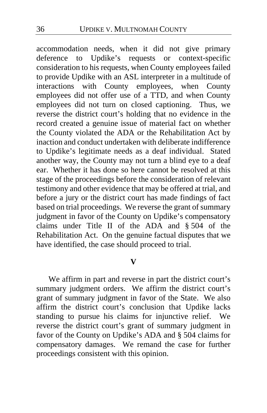accommodation needs, when it did not give primary deference to Updike's requests or context-specific consideration to his requests, when County employees failed to provide Updike with an ASL interpreter in a multitude of interactions with County employees, when County employees did not offer use of a TTD, and when County employees did not turn on closed captioning. Thus, we reverse the district court's holding that no evidence in the record created a genuine issue of material fact on whether the County violated the ADA or the Rehabilitation Act by inaction and conduct undertaken with deliberate indifference to Updike's legitimate needs as a deaf individual. Stated another way, the County may not turn a blind eye to a deaf ear. Whether it has done so here cannot be resolved at this stage of the proceedings before the consideration of relevant testimony and other evidence that may be offered at trial, and before a jury or the district court has made findings of fact based on trial proceedings. We reverse the grant of summary judgment in favor of the County on Updike's compensatory claims under Title II of the ADA and § 504 of the Rehabilitation Act. On the genuine factual disputes that we have identified, the case should proceed to trial.

## **V**

We affirm in part and reverse in part the district court's summary judgment orders. We affirm the district court's grant of summary judgment in favor of the State. We also affirm the district court's conclusion that Updike lacks standing to pursue his claims for injunctive relief. We reverse the district court's grant of summary judgment in favor of the County on Updike's ADA and § 504 claims for compensatory damages. We remand the case for further proceedings consistent with this opinion.